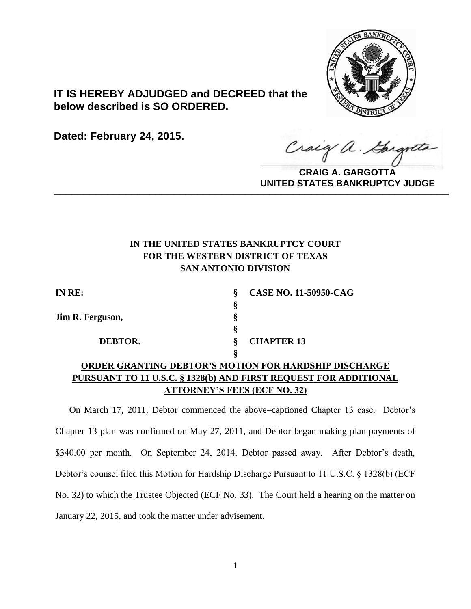

**IT IS HEREBY ADJUDGED and DECREED that the below described is SO ORDERED.**

**Dated: February 24, 2015.**

Craig a. Gargo

**CRAIG A. GARGOTTA UNITED STATES BANKRUPTCY JUDGE PRITED DIATED BARRACT TOT 00DCE** 

# **IN THE UNITED STATES BANKRUPTCY COURT FOR THE WESTERN DISTRICT OF TEXAS SAN ANTONIO DIVISION**

| IN RE:                              |   | <b>CASE NO. 11-50950-CAG</b>                                     |
|-------------------------------------|---|------------------------------------------------------------------|
|                                     | Ş |                                                                  |
| Jim R. Ferguson,                    | Ş |                                                                  |
|                                     | ş |                                                                  |
| DEBTOR.                             |   | <b>CHAPTER 13</b>                                                |
|                                     |   |                                                                  |
|                                     |   | <b>ORDER GRANTING DEBTOR'S MOTION FOR HARDSHIP DISCHARGE</b>     |
|                                     |   | PURSUANT TO 11 U.S.C. § 1328(b) AND FIRST REQUEST FOR ADDITIONAL |
| <b>ATTORNEY'S FEES (ECF NO. 32)</b> |   |                                                                  |

On March 17, 2011, Debtor commenced the above–captioned Chapter 13 case. Debtor's Chapter 13 plan was confirmed on May 27, 2011, and Debtor began making plan payments of \$340.00 per month. On September 24, 2014, Debtor passed away. After Debtor's death, Debtor's counsel filed this Motion for Hardship Discharge Pursuant to 11 U.S.C. § 1328(b) (ECF No. 32) to which the Trustee Objected (ECF No. 33). The Court held a hearing on the matter on January 22, 2015, and took the matter under advisement.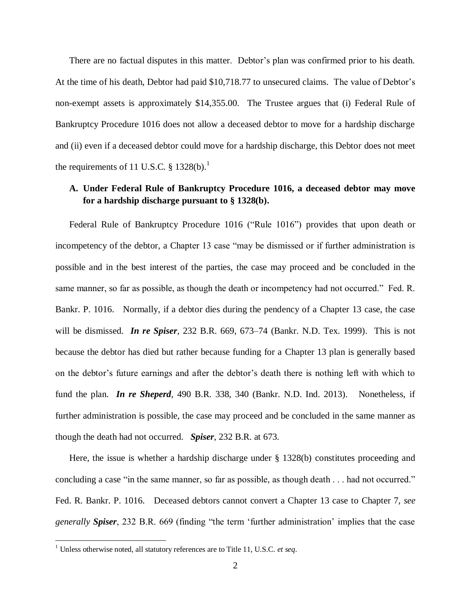There are no factual disputes in this matter. Debtor's plan was confirmed prior to his death. At the time of his death, Debtor had paid \$10,718.77 to unsecured claims. The value of Debtor's non-exempt assets is approximately \$14,355.00. The Trustee argues that (i) Federal Rule of Bankruptcy Procedure 1016 does not allow a deceased debtor to move for a hardship discharge and (ii) even if a deceased debtor could move for a hardship discharge, this Debtor does not meet the requirements of 11 U.S.C.  $\S$  1328(b).<sup>1</sup>

## **A. Under Federal Rule of Bankruptcy Procedure 1016, a deceased debtor may move for a hardship discharge pursuant to § 1328(b).**

Federal Rule of Bankruptcy Procedure 1016 ("Rule 1016") provides that upon death or incompetency of the debtor, a Chapter 13 case "may be dismissed or if further administration is possible and in the best interest of the parties, the case may proceed and be concluded in the same manner, so far as possible, as though the death or incompetency had not occurred." Fed. R. Bankr. P. 1016. Normally, if a debtor dies during the pendency of a Chapter 13 case, the case will be dismissed. *In re Spiser*, 232 B.R. 669, 673–74 (Bankr. N.D. Tex. 1999). This is not because the debtor has died but rather because funding for a Chapter 13 plan is generally based on the debtor's future earnings and after the debtor's death there is nothing left with which to fund the plan. *In re Sheperd*, 490 B.R. 338, 340 (Bankr. N.D. Ind. 2013). Nonetheless, if further administration is possible, the case may proceed and be concluded in the same manner as though the death had not occurred. *Spiser*, 232 B.R. at 673.

Here, the issue is whether a hardship discharge under § 1328(b) constitutes proceeding and concluding a case "in the same manner, so far as possible, as though death . . . had not occurred." Fed. R. Bankr. P. 1016. Deceased debtors cannot convert a Chapter 13 case to Chapter 7, *see generally Spiser*, 232 B.R. 669 (finding "the term 'further administration' implies that the case

 $\overline{\phantom{a}}$ 

<sup>1</sup> Unless otherwise noted, all statutory references are to Title 11, U.S.C. *et seq*.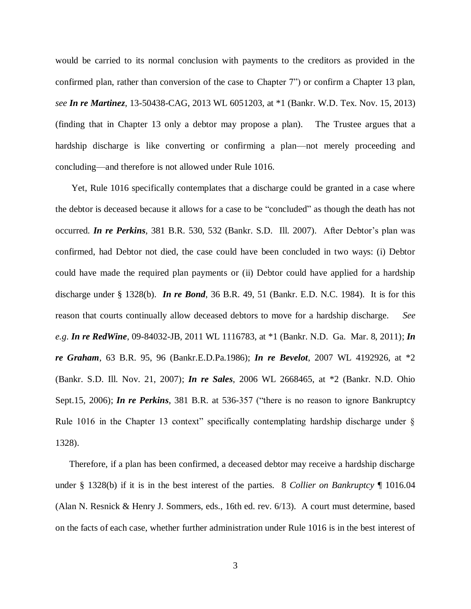would be carried to its normal conclusion with payments to the creditors as provided in the confirmed plan, rather than conversion of the case to Chapter 7") or confirm a Chapter 13 plan, *see In re Martinez*, 13-50438-CAG, 2013 WL 6051203, at \*1 (Bankr. W.D. Tex. Nov. 15, 2013) (finding that in Chapter 13 only a debtor may propose a plan). The Trustee argues that a hardship discharge is like converting or confirming a plan—not merely proceeding and concluding—and therefore is not allowed under Rule 1016.

Yet, Rule 1016 specifically contemplates that a discharge could be granted in a case where the debtor is deceased because it allows for a case to be "concluded" as though the death has not occurred. *In re Perkins*, 381 B.R. 530, 532 (Bankr. S.D. Ill. 2007). After Debtor's plan was confirmed, had Debtor not died, the case could have been concluded in two ways: (i) Debtor could have made the required plan payments or (ii) Debtor could have applied for a hardship discharge under § 1328(b). *In re Bond*, 36 B.R. 49, 51 (Bankr. E.D. N.C. 1984). It is for this reason that courts continually allow deceased debtors to move for a hardship discharge. *See e.g*. *In re RedWine*, 09-84032-JB, 2011 WL 1116783, at \*1 (Bankr. N.D. Ga. Mar. 8, 2011); *In re Graham*, 63 B.R. 95, 96 (Bankr.E.D.Pa.1986); *In re Bevelot*, 2007 WL 4192926, at \*2 (Bankr. S.D. Ill. Nov. 21, 2007); *In re Sales*, 2006 WL 2668465, at \*2 (Bankr. N.D. Ohio Sept.15, 2006); *In re Perkins*, 381 B.R. at 536-357 ("there is no reason to ignore Bankruptcy Rule 1016 in the Chapter 13 context" specifically contemplating hardship discharge under § 1328).

Therefore, if a plan has been confirmed, a deceased debtor may receive a hardship discharge under § 1328(b) if it is in the best interest of the parties. 8 *Collier on Bankruptcy* ¶ 1016.04 (Alan N. Resnick & Henry J. Sommers, eds., 16th ed. rev. 6/13). A court must determine, based on the facts of each case, whether further administration under Rule 1016 is in the best interest of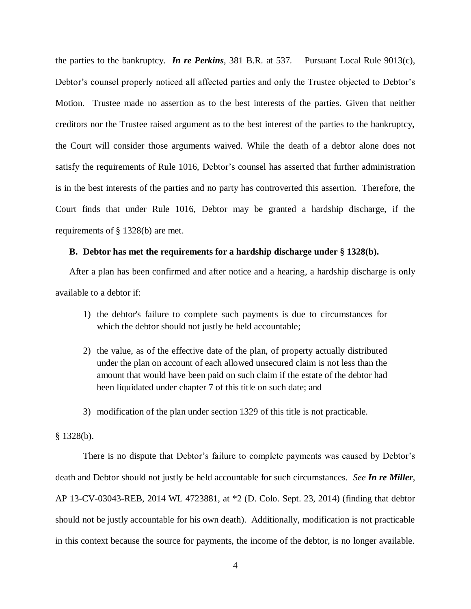the parties to the bankruptcy. *In re Perkins*, 381 B.R. at 537. Pursuant Local Rule 9013(c), Debtor's counsel properly noticed all affected parties and only the Trustee objected to Debtor's Motion. Trustee made no assertion as to the best interests of the parties. Given that neither creditors nor the Trustee raised argument as to the best interest of the parties to the bankruptcy, the Court will consider those arguments waived. While the death of a debtor alone does not satisfy the requirements of Rule 1016, Debtor's counsel has asserted that further administration is in the best interests of the parties and no party has controverted this assertion. Therefore, the Court finds that under Rule 1016, Debtor may be granted a hardship discharge, if the requirements of § 1328(b) are met.

#### **B. Debtor has met the requirements for a hardship discharge under § 1328(b).**

After a plan has been confirmed and after notice and a hearing, a hardship discharge is only available to a debtor if:

- 1) the debtor's failure to complete such payments is due to circumstances for which the debtor should not justly be held accountable;
- 2) the value, as of the effective date of the plan, of property actually distributed under the plan on account of each allowed unsecured claim is not less than the amount that would have been paid on such claim if the estate of the debtor had been liquidated under chapter 7 of this title on such date; and
- 3) modification of the plan under section 1329 of this title is not practicable.

### § 1328(b).

There is no dispute that Debtor's failure to complete payments was caused by Debtor's death and Debtor should not justly be held accountable for such circumstances. *See In re Miller*, AP 13-CV-03043-REB, 2014 WL 4723881, at \*2 (D. Colo. Sept. 23, 2014) (finding that debtor should not be justly accountable for his own death). Additionally, modification is not practicable in this context because the source for payments, the income of the debtor, is no longer available.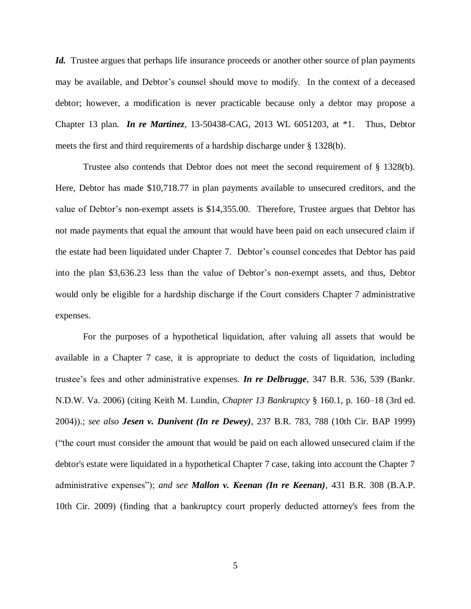Id. Trustee argues that perhaps life insurance proceeds or another other source of plan payments may be available, and Debtor's counsel should move to modify. In the context of a deceased debtor; however, a modification is never practicable because only a debtor may propose a Chapter 13 plan. *In re Martinez*, 13-50438-CAG, 2013 WL 6051203, at \*1. Thus, Debtor meets the first and third requirements of a hardship discharge under § 1328(b).

Trustee also contends that Debtor does not meet the second requirement of § 1328(b). Here, Debtor has made \$10,718.77 in plan payments available to unsecured creditors, and the value of Debtor's non-exempt assets is \$14,355.00. Therefore, Trustee argues that Debtor has not made payments that equal the amount that would have been paid on each unsecured claim if the estate had been liquidated under Chapter 7. Debtor's counsel concedes that Debtor has paid into the plan \$3,636.23 less than the value of Debtor's non-exempt assets, and thus, Debtor would only be eligible for a hardship discharge if the Court considers Chapter 7 administrative expenses.

For the purposes of a hypothetical liquidation, after valuing all assets that would be available in a Chapter 7 case, it is appropriate to deduct the costs of liquidation, including trustee's fees and other administrative expenses. *In re Delbrugge*, 347 B.R. 536, 539 (Bankr. N.D.W. Va. 2006) (citing Keith M. Lundin, *Chapter 13 Bankruptcy* § 160.1, p. 160–18 (3rd ed. 2004)).; *see also Jesen v. Dunivent (In re Dewey)*, 237 B.R. 783, 788 (10th Cir. BAP 1999) ("the court must consider the amount that would be paid on each allowed unsecured claim if the debtor's estate were liquidated in a hypothetical Chapter 7 case, taking into account the Chapter 7 administrative expenses"); *and see Mallon v. Keenan (In re Keenan)*, 431 B.R. 308 (B.A.P. 10th Cir. 2009) (finding that a bankruptcy court properly deducted attorney's fees from the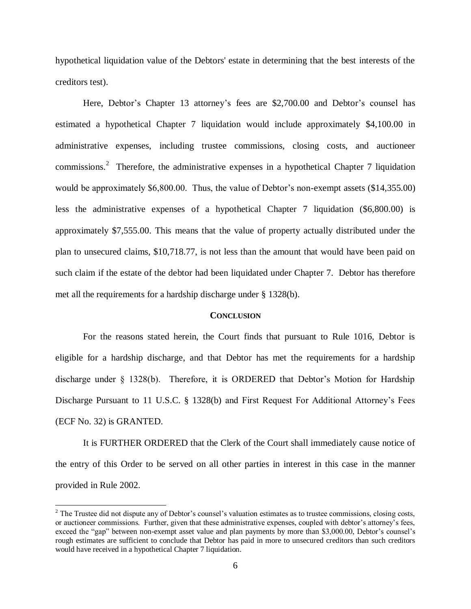hypothetical liquidation value of the Debtors' estate in determining that the best interests of the creditors test).

Here, Debtor's Chapter 13 attorney's fees are \$2,700.00 and Debtor's counsel has estimated a hypothetical Chapter 7 liquidation would include approximately \$4,100.00 in administrative expenses, including trustee commissions, closing costs, and auctioneer commissions.<sup>2</sup> Therefore, the administrative expenses in a hypothetical Chapter 7 liquidation would be approximately \$6,800.00. Thus, the value of Debtor's non-exempt assets (\$14,355.00) less the administrative expenses of a hypothetical Chapter 7 liquidation (\$6,800.00) is approximately \$7,555.00. This means that the value of property actually distributed under the plan to unsecured claims, \$10,718.77, is not less than the amount that would have been paid on such claim if the estate of the debtor had been liquidated under Chapter 7. Debtor has therefore met all the requirements for a hardship discharge under § 1328(b).

#### **CONCLUSION**

For the reasons stated herein, the Court finds that pursuant to Rule 1016, Debtor is eligible for a hardship discharge, and that Debtor has met the requirements for a hardship discharge under § 1328(b). Therefore, it is ORDERED that Debtor's Motion for Hardship Discharge Pursuant to 11 U.S.C. § 1328(b) and First Request For Additional Attorney's Fees (ECF No. 32) is GRANTED.

It is FURTHER ORDERED that the Clerk of the Court shall immediately cause notice of the entry of this Order to be served on all other parties in interest in this case in the manner provided in Rule 2002.

 $\overline{\phantom{a}}$ 

 $2^2$  The Trustee did not dispute any of Debtor's counsel's valuation estimates as to trustee commissions, closing costs, or auctioneer commissions. Further, given that these administrative expenses, coupled with debtor's attorney's fees, exceed the "gap" between non-exempt asset value and plan payments by more than \$3,000.00, Debtor's counsel's rough estimates are sufficient to conclude that Debtor has paid in more to unsecured creditors than such creditors would have received in a hypothetical Chapter 7 liquidation.